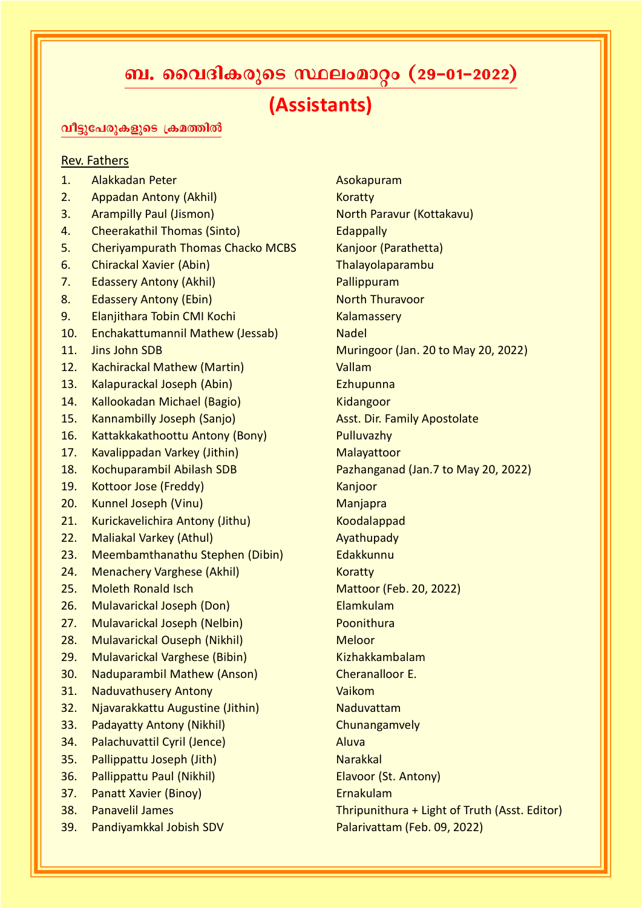## ബ. വൈദികരുടെ സ്ഥലംമാറ്റം (29-01-2022)

## (Assistants)

## വീട്ടുപേരുകളുടെ ക്രമത്തിൽ

## Rev. Fathers

- 1. Alakkadan Peter Asokapuram
- 2. Appadan Antony (Akhil) Koratty
- 3. Arampilly Paul (Jismon) North Paravur (Kottakavu)
- 4. Cheerakathil Thomas (Sinto) **Example 20** Edappally
- 5. Cheriyampurath Thomas Chacko MCBS Kanjoor (Parathetta)
- 6. Chirackal Xavier (Abin) Chirackal Xavier (Abin) Chirackal Xavier Chirackal Xavier Chirackal Xavier Chirackal X
- 7. Edassery Antony (Akhil) **Pallippuram**
- 8. Edassery Antony (Ebin) North Thuravoor
- 9. Elanjithara Tobin CMI Kochi Kalamassery
- 10. Enchakattumannil Mathew (Jessab) Nadel
- 
- 12. Kachirackal Mathew (Martin) Vallam
- 13. Kalapurackal Joseph (Abin) Ezhupunna
- 14. Kallookadan Michael (Bagio) Kidangoor
- 15. Kannambilly Joseph (Sanjo) Masst. Dir. Family Apostolate
- 16. Kattakkakathoottu Antony (Bony) Pulluvazhy
- 17. Kavalippadan Varkey (Jithin) Malayattoor
- 
- 19. Kottoor Jose (Freddy) Kanjoor
- 20. Kunnel Joseph (Vinu) Manjapra
- 21. Kurickavelichira Antony (Jithu) Koodalappad
- 22. Maliakal Varkey (Athul) Ayathupady
- 23. Meembamthanathu Stephen (Dibin) Edakkunnu
- 24. Menachery Varghese (Akhil) Koratty
- 
- 26. Mulavarickal Joseph (Don) Elamkulam
- 27. Mulavarickal Joseph (Nelbin) Poonithura
- 28. Mulavarickal Ouseph (Nikhil) Meloor
- 29. Mulavarickal Varghese (Bibin) Kizhakkambalam
- 30. Naduparambil Mathew (Anson) Cheranalloor E.
- 31. Naduvathusery Antony Vaikom
- 32. Njavarakkattu Augustine (Jithin) Naduvattam
- 33. Padayatty Antony (Nikhil) Chunangamvely
- 34. Palachuvattil Cyril (Jence) Maria Aluva
- 35. Pallippattu Joseph (Jith) Narakkal
- 36. Pallippattu Paul (Nikhil) Elavoor (St. Antony)
- 37. Panatt Xavier (Binoy) Ernakulam
- 
- 39. Pandiyamkkal Jobish SDV Palarivattam (Feb. 09, 2022)

11. Jins John SDB Muringoor (Jan. 20 to May 20, 2022) 18. Kochuparambil Abilash SDB Pazhanganad (Jan.7 to May 20, 2022) 25. Moleth Ronald Isch Mattoor (Feb. 20, 2022) 38. Panavelil James Thripunithura + Light of Truth (Asst. Editor)